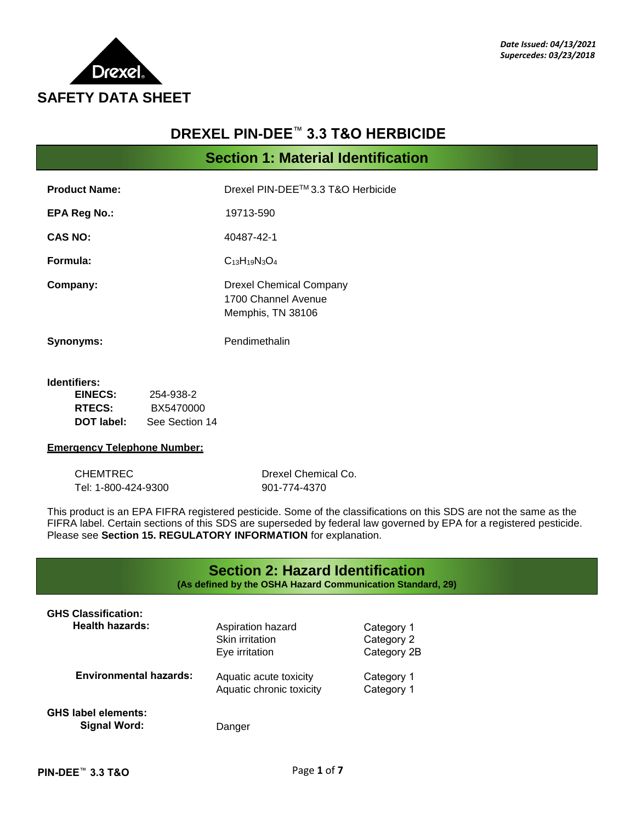

# **DREXEL PIN-DEE**™ **3.3 T&O HERBICIDE**

**Section 1: Material Identification**

| <b>Product Name:</b> | Drexel PIN-DEE™ 3.3 T&O Herbicide                                   |
|----------------------|---------------------------------------------------------------------|
| <b>EPA Reg No.:</b>  | 19713-590                                                           |
| <b>CAS NO:</b>       | 40487-42-1                                                          |
| Formula:             | $C_{13}H_{19}N_3O_4$                                                |
| Company:             | Drexel Chemical Company<br>1700 Channel Avenue<br>Memphis, TN 38106 |
| <b>Synonyms:</b>     | Pendimethalin                                                       |

#### **Identifiers:**

| EINECS:       | 254-938-2      |
|---------------|----------------|
| <b>RTECS:</b> | BX5470000      |
| DOT label:    | See Section 14 |

### **Emergency Telephone Number:**

| CHEMTREC            | Drexel Chemical Co. |
|---------------------|---------------------|
| Tel: 1-800-424-9300 | 901-774-4370        |

This product is an EPA FIFRA registered pesticide. Some of the classifications on this SDS are not the same as the FIFRA label. Certain sections of this SDS are superseded by federal law governed by EPA for a registered pesticide. Please see **Section 15. REGULATORY INFORMATION** for explanation.

|                                                      | <b>Section 2: Hazard Identification</b><br>(As defined by the OSHA Hazard Communication Standard, 29) |                                         |
|------------------------------------------------------|-------------------------------------------------------------------------------------------------------|-----------------------------------------|
| <b>GHS Classification:</b><br><b>Health hazards:</b> | Aspiration hazard<br>Skin irritation<br>Eye irritation                                                | Category 1<br>Category 2<br>Category 2B |
| <b>Environmental hazards:</b>                        | Aquatic acute toxicity<br>Aquatic chronic toxicity                                                    | Category 1<br>Category 1                |
| <b>GHS label elements:</b><br>Signal Word:           | Danger                                                                                                |                                         |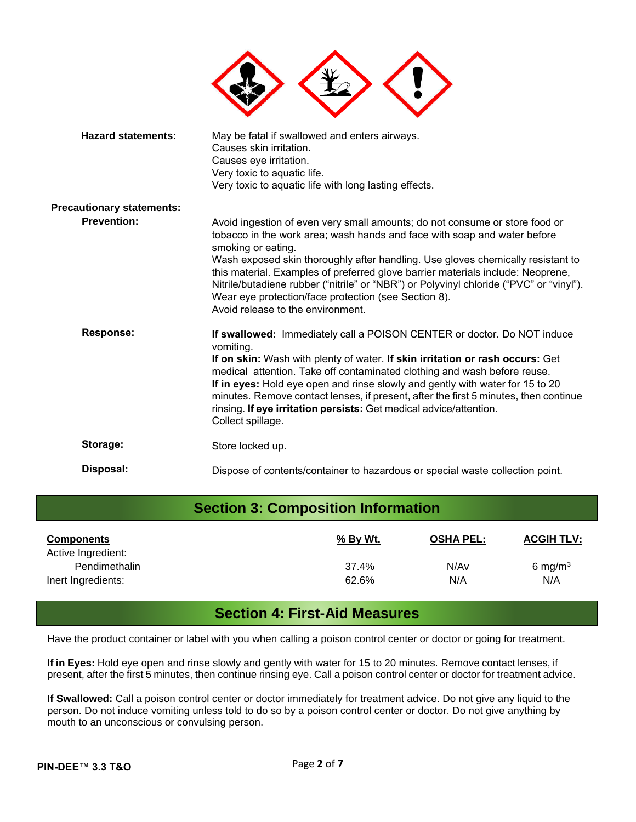| <b>Hazard statements:</b>        | May be fatal if swallowed and enters airways.<br>Causes skin irritation.<br>Causes eye irritation.<br>Very toxic to aquatic life.<br>Very toxic to aquatic life with long lasting effects.                                                                                                                                                                                                                                                                                                                                                  |
|----------------------------------|---------------------------------------------------------------------------------------------------------------------------------------------------------------------------------------------------------------------------------------------------------------------------------------------------------------------------------------------------------------------------------------------------------------------------------------------------------------------------------------------------------------------------------------------|
| <b>Precautionary statements:</b> |                                                                                                                                                                                                                                                                                                                                                                                                                                                                                                                                             |
| <b>Prevention:</b>               | Avoid ingestion of even very small amounts; do not consume or store food or<br>tobacco in the work area; wash hands and face with soap and water before<br>smoking or eating.<br>Wash exposed skin thoroughly after handling. Use gloves chemically resistant to<br>this material. Examples of preferred glove barrier materials include: Neoprene,<br>Nitrile/butadiene rubber ("nitrile" or "NBR") or Polyvinyl chloride ("PVC" or "vinyl").<br>Wear eye protection/face protection (see Section 8).<br>Avoid release to the environment. |
| <b>Response:</b>                 | If swallowed: Immediately call a POISON CENTER or doctor. Do NOT induce<br>vomiting.<br>If on skin: Wash with plenty of water. If skin irritation or rash occurs: Get<br>medical attention. Take off contaminated clothing and wash before reuse.<br>If in eyes: Hold eye open and rinse slowly and gently with water for 15 to 20<br>minutes. Remove contact lenses, if present, after the first 5 minutes, then continue<br>rinsing. If eye irritation persists: Get medical advice/attention.<br>Collect spillage.                       |
| Storage:                         | Store locked up.                                                                                                                                                                                                                                                                                                                                                                                                                                                                                                                            |
| Disposal:                        | Dispose of contents/container to hazardous or special waste collection point.                                                                                                                                                                                                                                                                                                                                                                                                                                                               |

| <b>Section 3: Composition Information</b> |                |                  |                   |
|-------------------------------------------|----------------|------------------|-------------------|
| <b>Components</b><br>Active Ingredient:   | % By Wt.       | <b>OSHA PEL:</b> | <b>ACGIH TLV:</b> |
| Pendimethalin<br>Inert Ingredients:       | 37.4%<br>62.6% | N/Av<br>N/A      | 6 mg/m $3$<br>N/A |

# **Section 4: First-Aid Measures**

Have the product container or label with you when calling a poison control center or doctor or going for treatment.

**If in Eyes:** Hold eye open and rinse slowly and gently with water for 15 to 20 minutes. Remove contact lenses, if present, after the first 5 minutes, then continue rinsing eye. Call a poison control center or doctor for treatment advice.

**If Swallowed:** Call a poison control center or doctor immediately for treatment advice. Do not give any liquid to the person. Do not induce vomiting unless told to do so by a poison control center or doctor. Do not give anything by mouth to an unconscious or convulsing person.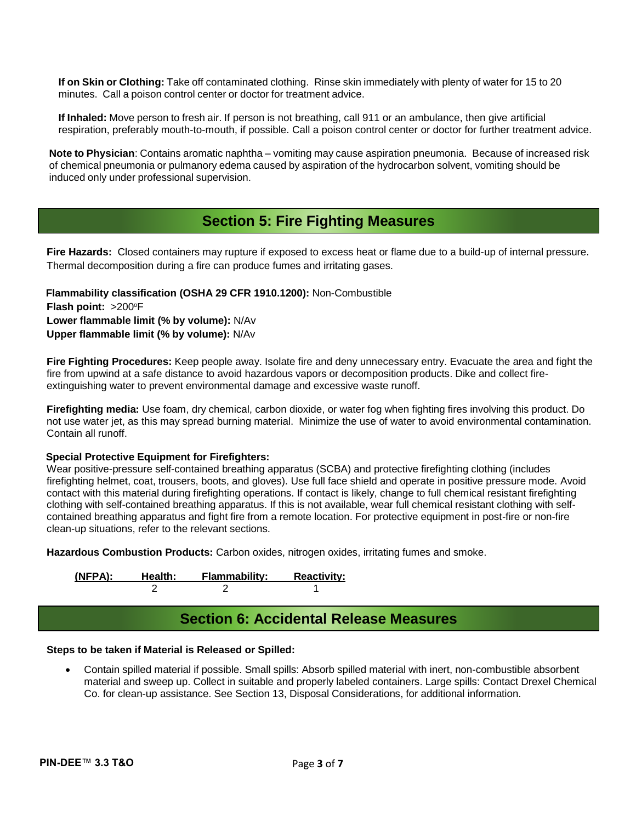**If on Skin or Clothing:** Take off contaminated clothing. Rinse skin immediately with plenty of water for 15 to 20 minutes. Call a poison control center or doctor for treatment advice.

**If Inhaled:** Move person to fresh air. If person is not breathing, call 911 or an ambulance, then give artificial respiration, preferably mouth-to-mouth, if possible. Call a poison control center or doctor for further treatment advice.

**Note to Physician**: Contains aromatic naphtha – vomiting may cause aspiration pneumonia. Because of increased risk of chemical pneumonia or pulmanory edema caused by aspiration of the hydrocarbon solvent, vomiting should be induced only under professional supervision.

# **Section 5: Fire Fighting Measures**

**Fire Hazards:** Closed containers may rupture if exposed to excess heat or flame due to a build-up of internal pressure. Thermal decomposition during a fire can produce fumes and irritating gases.

 **Flammability classification (OSHA 29 CFR 1910.1200):** Non-Combustible **Flash point: >200°F Lower flammable limit (% by volume):** N/Av **Upper flammable limit (% by volume):** N/Av

**Fire Fighting Procedures:** Keep people away. Isolate fire and deny unnecessary entry. Evacuate the area and fight the fire from upwind at a safe distance to avoid hazardous vapors or decomposition products. Dike and collect fireextinguishing water to prevent environmental damage and excessive waste runoff.

**Firefighting media:** Use foam, dry chemical, carbon dioxide, or water fog when fighting fires involving this product. Do not use water jet, as this may spread burning material. Minimize the use of water to avoid environmental contamination. Contain all runoff.

#### **Special Protective Equipment for Firefighters:**

Wear positive-pressure self-contained breathing apparatus (SCBA) and protective firefighting clothing (includes firefighting helmet, coat, trousers, boots, and gloves). Use full face shield and operate in positive pressure mode. Avoid contact with this material during firefighting operations. If contact is likely, change to full chemical resistant firefighting clothing with self-contained breathing apparatus. If this is not available, wear full chemical resistant clothing with selfcontained breathing apparatus and fight fire from a remote location. For protective equipment in post-fire or non-fire clean-up situations, refer to the relevant sections.

**Hazardous Combustion Products:** Carbon oxides, nitrogen oxides, irritating fumes and smoke.

**(NFPA): Health: Flammability: Reactivity:**  2 2 1

# **Section 6: Accidental Release Measures**

## **Steps to be taken if Material is Released or Spilled:**

 Contain spilled material if possible. Small spills: Absorb spilled material with inert, non-combustible absorbent material and sweep up. Collect in suitable and properly labeled containers. Large spills: Contact Drexel Chemical Co. for clean-up assistance. See Section 13, Disposal Considerations, for additional information.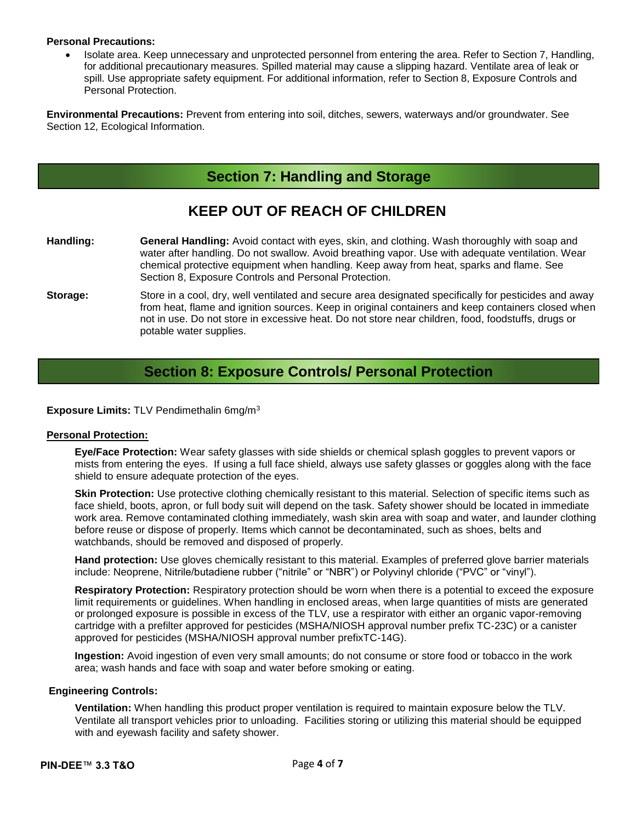#### **Personal Precautions:**

 Isolate area. Keep unnecessary and unprotected personnel from entering the area. Refer to Section 7, Handling, for additional precautionary measures. Spilled material may cause a slipping hazard. Ventilate area of leak or spill. Use appropriate safety equipment. For additional information, refer to Section 8, Exposure Controls and Personal Protection.

**Environmental Precautions:** Prevent from entering into soil, ditches, sewers, waterways and/or groundwater. See Section 12, Ecological Information.

# **Section 7: Handling and Storage**

# **KEEP OUT OF REACH OF CHILDREN**

- **Handling: General Handling:** Avoid contact with eyes, skin, and clothing. Wash thoroughly with soap and water after handling. Do not swallow. Avoid breathing vapor. Use with adequate ventilation. Wear chemical protective equipment when handling. Keep away from heat, sparks and flame. See Section 8, Exposure Controls and Personal Protection.
- **Storage:** Store in a cool, dry, well ventilated and secure area designated specifically for pesticides and away from heat, flame and ignition sources. Keep in original containers and keep containers closed when not in use. Do not store in excessive heat. Do not store near children, food, foodstuffs, drugs or potable water supplies.

## **Section 8: Exposure Controls/ Personal Protection**

## **Exposure Limits:** TLV Pendimethalin 6mg/m<sup>3</sup>

#### **Personal Protection:**

**Eye/Face Protection:** Wear safety glasses with side shields or chemical splash goggles to prevent vapors or mists from entering the eyes. If using a full face shield, always use safety glasses or goggles along with the face shield to ensure adequate protection of the eyes.

**Skin Protection:** Use protective clothing chemically resistant to this material. Selection of specific items such as face shield, boots, apron, or full body suit will depend on the task. Safety shower should be located in immediate work area. Remove contaminated clothing immediately, wash skin area with soap and water, and launder clothing before reuse or dispose of properly. Items which cannot be decontaminated, such as shoes, belts and watchbands, should be removed and disposed of properly.

**Hand protection:** Use gloves chemically resistant to this material. Examples of preferred glove barrier materials include: Neoprene, Nitrile/butadiene rubber ("nitrile" or "NBR") or Polyvinyl chloride ("PVC" or "vinyl").

**Respiratory Protection:** Respiratory protection should be worn when there is a potential to exceed the exposure limit requirements or guidelines. When handling in enclosed areas, when large quantities of mists are generated or prolonged exposure is possible in excess of the TLV, use a respirator with either an organic vapor-removing cartridge with a prefilter approved for pesticides (MSHA/NIOSH approval number prefix TC-23C) or a canister approved for pesticides (MSHA/NIOSH approval number prefixTC-14G).

**Ingestion:** Avoid ingestion of even very small amounts; do not consume or store food or tobacco in the work area; wash hands and face with soap and water before smoking or eating.

### **Engineering Controls:**

**Ventilation:** When handling this product proper ventilation is required to maintain exposure below the TLV. Ventilate all transport vehicles prior to unloading. Facilities storing or utilizing this material should be equipped with and eyewash facility and safety shower.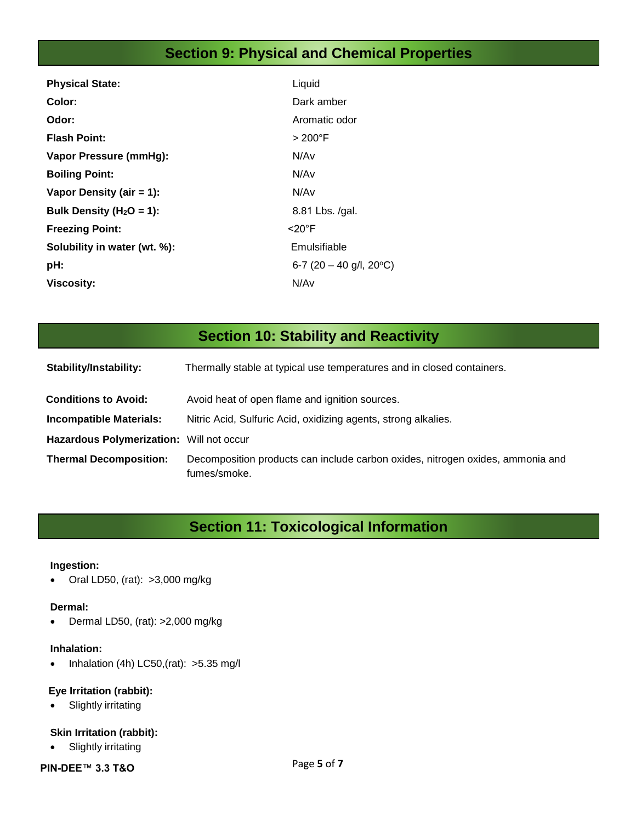# **Section 9: Physical and Chemical Properties**

| <b>Physical State:</b>       | Liquid                             |
|------------------------------|------------------------------------|
| Color:                       | Dark amber                         |
| Odor:                        | Aromatic odor                      |
| <b>Flash Point:</b>          | $>200^{\circ}$ F                   |
| Vapor Pressure (mmHg):       | N/Av                               |
| <b>Boiling Point:</b>        | N/Av                               |
| Vapor Density (air $= 1$ ):  | N/Av                               |
| Bulk Density ( $H_2O = 1$ ): | 8.81 Lbs. /gal.                    |
| <b>Freezing Point:</b>       | <20°F                              |
| Solubility in water (wt. %): | Emulsifiable                       |
| pH:                          | 6-7 (20 - 40 g/l, 20 $^{\circ}$ C) |
| <b>Viscosity:</b>            | N/Av                               |

# **Section 10: Stability and Reactivity**

| Stability/Instability:                   | Thermally stable at typical use temperatures and in closed containers.                         |
|------------------------------------------|------------------------------------------------------------------------------------------------|
| <b>Conditions to Avoid:</b>              | Avoid heat of open flame and ignition sources.                                                 |
| <b>Incompatible Materials:</b>           | Nitric Acid, Sulfuric Acid, oxidizing agents, strong alkalies.                                 |
| Hazardous Polymerization: Will not occur |                                                                                                |
| <b>Thermal Decomposition:</b>            | Decomposition products can include carbon oxides, nitrogen oxides, ammonia and<br>fumes/smoke. |

# **Section 11: Toxicological Information**

## **Ingestion:**

Oral LD50, (rat): >3,000 mg/kg

## **Dermal:**

Dermal LD50, (rat): >2,000 mg/kg

## **Inhalation:**

 $\bullet$  Inhalation (4h) LC50,(rat): >5.35 mg/l

## **Eye Irritation (rabbit):**

• Slightly irritating

## **Skin Irritation (rabbit):**

• Slightly irritating

## **PIN-DEE**™ **3.3 T&O**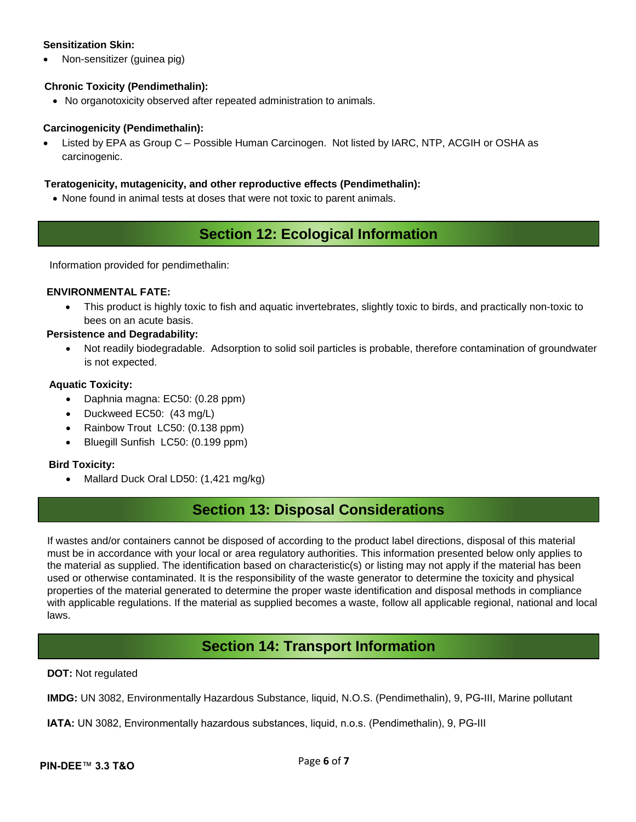## **Sensitization Skin:**

Non-sensitizer (guinea pig)

## **Chronic Toxicity (Pendimethalin):**

No organotoxicity observed after repeated administration to animals.

## **Carcinogenicity (Pendimethalin):**

 Listed by EPA as Group C – Possible Human Carcinogen. Not listed by IARC, NTP, ACGIH or OSHA as carcinogenic.

## **Teratogenicity, mutagenicity, and other reproductive effects (Pendimethalin):**

None found in animal tests at doses that were not toxic to parent animals.

# **Section 12: Ecological Information**

Information provided for pendimethalin:

## **ENVIRONMENTAL FATE:**

 This product is highly toxic to fish and aquatic invertebrates, slightly toxic to birds, and practically non-toxic to bees on an acute basis.

#### **Persistence and Degradability:**

 Not readily biodegradable. Adsorption to solid soil particles is probable, therefore contamination of groundwater is not expected.

## **Aquatic Toxicity:**

- Daphnia magna: EC50: (0.28 ppm)
- Duckweed EC50: (43 mg/L)
- Rainbow Trout LC50: (0.138 ppm)
- Bluegill Sunfish LC50: (0.199 ppm)

#### **Bird Toxicity:**

• Mallard Duck Oral LD50: (1,421 mg/kg)

# **Section 13: Disposal Considerations**

If wastes and/or containers cannot be disposed of according to the product label directions, disposal of this material must be in accordance with your local or area regulatory authorities. This information presented below only applies to the material as supplied. The identification based on characteristic(s) or listing may not apply if the material has been used or otherwise contaminated. It is the responsibility of the waste generator to determine the toxicity and physical properties of the material generated to determine the proper waste identification and disposal methods in compliance with applicable regulations. If the material as supplied becomes a waste, follow all applicable regional, national and local laws.

# **Section 14: Transport Information**

#### **DOT:** Not regulated

**IMDG:** UN 3082, Environmentally Hazardous Substance, liquid, N.O.S. (Pendimethalin), 9, PG-III, Marine pollutant

**IATA:** UN 3082, Environmentally hazardous substances, liquid, n.o.s. (Pendimethalin), 9, PG-III